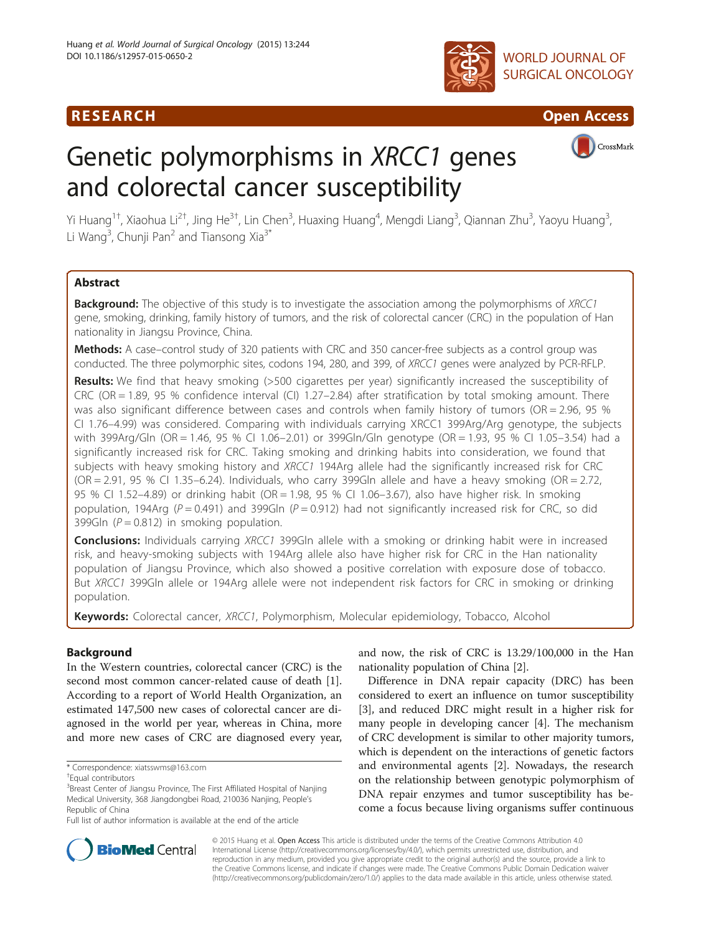# R E S EAR CH Open Access





# Genetic polymorphisms in XRCC1 genes and colorectal cancer susceptibility



Yi Huang<sup>1†</sup>, Xiaohua Li<sup>2†</sup>, Jing He<sup>3†</sup>, Lin Chen<sup>3</sup>, Huaxing Huang<sup>4</sup>, Mengdi Liang<sup>3</sup>, Qiannan Zhu<sup>3</sup>, Yaoyu Huang<sup>3</sup> , Li Wang<sup>3</sup>, Chunji Pan<sup>2</sup> and Tiansong Xia<sup>3\*</sup>

# Abstract

**Background:** The objective of this study is to investigate the association among the polymorphisms of XRCC1 gene, smoking, drinking, family history of tumors, and the risk of colorectal cancer (CRC) in the population of Han nationality in Jiangsu Province, China.

Methods: A case–control study of 320 patients with CRC and 350 cancer-free subjects as a control group was conducted. The three polymorphic sites, codons 194, 280, and 399, of XRCC1 genes were analyzed by PCR-RFLP.

Results: We find that heavy smoking (>500 cigarettes per year) significantly increased the susceptibility of CRC (OR = 1.89, 95 % confidence interval (CI) 1.27–2.84) after stratification by total smoking amount. There was also significant difference between cases and controls when family history of tumors (OR = 2.96, 95 % CI 1.76–4.99) was considered. Comparing with individuals carrying XRCC1 399Arg/Arg genotype, the subjects with 399Arg/Gln (OR = 1.46, 95 % CI 1.06–2.01) or 399Gln/Gln genotype (OR = 1.93, 95 % CI 1.05–3.54) had a significantly increased risk for CRC. Taking smoking and drinking habits into consideration, we found that subjects with heavy smoking history and XRCC1 194Arg allele had the significantly increased risk for CRC  $(OR = 2.91, 95 \, \% \, \text{Cl} \, 1.35-6.24)$ . Individuals, who carry 399Gln allele and have a heavy smoking  $(OR = 2.72, 1.35-6.24)$ . 95 % CI 1.52–4.89) or drinking habit (OR = 1.98, 95 % CI 1.06–3.67), also have higher risk. In smoking population, 194Arg ( $P = 0.491$ ) and 399Gln ( $P = 0.912$ ) had not significantly increased risk for CRC, so did 399Gln  $(P = 0.812)$  in smoking population.

Conclusions: Individuals carrying XRCC1 399Gln allele with a smoking or drinking habit were in increased risk, and heavy-smoking subjects with 194Arg allele also have higher risk for CRC in the Han nationality population of Jiangsu Province, which also showed a positive correlation with exposure dose of tobacco. But XRCC1 399Gln allele or 194Arg allele were not independent risk factors for CRC in smoking or drinking population.

Keywords: Colorectal cancer, XRCC1, Polymorphism, Molecular epidemiology, Tobacco, Alcohol

# Background

In the Western countries, colorectal cancer (CRC) is the second most common cancer-related cause of death [\[1](#page-6-0)]. According to a report of World Health Organization, an estimated 147,500 new cases of colorectal cancer are diagnosed in the world per year, whereas in China, more and more new cases of CRC are diagnosed every year, and now, the risk of CRC is 13.29/100,000 in the Han nationality population of China [\[2](#page-6-0)].

Difference in DNA repair capacity (DRC) has been considered to exert an influence on tumor susceptibility [[3\]](#page-6-0), and reduced DRC might result in a higher risk for many people in developing cancer [\[4\]](#page-6-0). The mechanism of CRC development is similar to other majority tumors, which is dependent on the interactions of genetic factors and environmental agents [[2\]](#page-6-0). Nowadays, the research on the relationship between genotypic polymorphism of DNA repair enzymes and tumor susceptibility has become a focus because living organisms suffer continuous



© 2015 Huang et al. Open Access This article is distributed under the terms of the Creative Commons Attribution 4.0 International License [\(http://creativecommons.org/licenses/by/4.0/](http://creativecommons.org/licenses/by/4.0/)), which permits unrestricted use, distribution, and reproduction in any medium, provided you give appropriate credit to the original author(s) and the source, provide a link to the Creative Commons license, and indicate if changes were made. The Creative Commons Public Domain Dedication waiver [\(http://creativecommons.org/publicdomain/zero/1.0/](http://creativecommons.org/publicdomain/zero/1.0/)) applies to the data made available in this article, unless otherwise stated.

<sup>\*</sup> Correspondence: [xiatsswms@163.com](mailto:xiatsswms@163.com) †

Equal contributors

<sup>&</sup>lt;sup>3</sup>Breast Center of Jiangsu Province, The First Affiliated Hospital of Nanjing Medical University, 368 Jiangdongbei Road, 210036 Nanjing, People's Republic of China

Full list of author information is available at the end of the article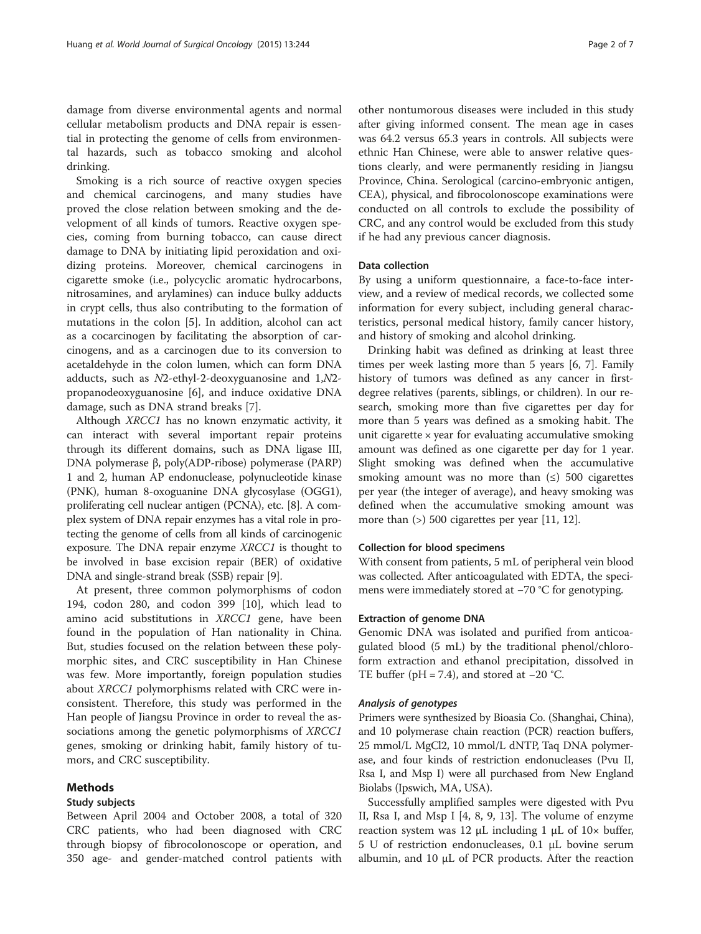damage from diverse environmental agents and normal cellular metabolism products and DNA repair is essential in protecting the genome of cells from environmental hazards, such as tobacco smoking and alcohol drinking.

Smoking is a rich source of reactive oxygen species and chemical carcinogens, and many studies have proved the close relation between smoking and the development of all kinds of tumors. Reactive oxygen species, coming from burning tobacco, can cause direct damage to DNA by initiating lipid peroxidation and oxidizing proteins. Moreover, chemical carcinogens in cigarette smoke (i.e., polycyclic aromatic hydrocarbons, nitrosamines, and arylamines) can induce bulky adducts in crypt cells, thus also contributing to the formation of mutations in the colon [\[5](#page-6-0)]. In addition, alcohol can act as a cocarcinogen by facilitating the absorption of carcinogens, and as a carcinogen due to its conversion to acetaldehyde in the colon lumen, which can form DNA adducts, such as N2-ethyl-2-deoxyguanosine and 1,N2 propanodeoxyguanosine [\[6](#page-6-0)], and induce oxidative DNA damage, such as DNA strand breaks [[7\]](#page-6-0).

Although XRCC1 has no known enzymatic activity, it can interact with several important repair proteins through its different domains, such as DNA ligase III, DNA polymerase β, poly(ADP-ribose) polymerase (PARP) 1 and 2, human AP endonuclease, polynucleotide kinase (PNK), human 8-oxoguanine DNA glycosylase (OGG1), proliferating cell nuclear antigen (PCNA), etc. [\[8\]](#page-6-0). A complex system of DNA repair enzymes has a vital role in protecting the genome of cells from all kinds of carcinogenic exposure. The DNA repair enzyme XRCC1 is thought to be involved in base excision repair (BER) of oxidative DNA and single-strand break (SSB) repair [\[9\]](#page-6-0).

At present, three common polymorphisms of codon 194, codon 280, and codon 399 [[10\]](#page-6-0), which lead to amino acid substitutions in XRCC1 gene, have been found in the population of Han nationality in China. But, studies focused on the relation between these polymorphic sites, and CRC susceptibility in Han Chinese was few. More importantly, foreign population studies about XRCC1 polymorphisms related with CRC were inconsistent. Therefore, this study was performed in the Han people of Jiangsu Province in order to reveal the associations among the genetic polymorphisms of XRCC1 genes, smoking or drinking habit, family history of tumors, and CRC susceptibility.

# Methods

# Study subjects

Between April 2004 and October 2008, a total of 320 CRC patients, who had been diagnosed with CRC through biopsy of fibrocolonoscope or operation, and 350 age- and gender-matched control patients with other nontumorous diseases were included in this study after giving informed consent. The mean age in cases was 64.2 versus 65.3 years in controls. All subjects were ethnic Han Chinese, were able to answer relative questions clearly, and were permanently residing in Jiangsu Province, China. Serological (carcino-embryonic antigen, CEA), physical, and fibrocolonoscope examinations were

conducted on all controls to exclude the possibility of CRC, and any control would be excluded from this study if he had any previous cancer diagnosis.

# Data collection

By using a uniform questionnaire, a face-to-face interview, and a review of medical records, we collected some information for every subject, including general characteristics, personal medical history, family cancer history, and history of smoking and alcohol drinking.

Drinking habit was defined as drinking at least three times per week lasting more than 5 years [[6](#page-6-0), [7](#page-6-0)]. Family history of tumors was defined as any cancer in firstdegree relatives (parents, siblings, or children). In our research, smoking more than five cigarettes per day for more than 5 years was defined as a smoking habit. The unit cigarette  $\times$  year for evaluating accumulative smoking amount was defined as one cigarette per day for 1 year. Slight smoking was defined when the accumulative smoking amount was no more than  $(\le)$  500 cigarettes per year (the integer of average), and heavy smoking was defined when the accumulative smoking amount was more than (>) 500 cigarettes per year [\[11](#page-6-0), [12](#page-6-0)].

## Collection for blood specimens

With consent from patients, 5 mL of peripheral vein blood was collected. After anticoagulated with EDTA, the specimens were immediately stored at −70 °C for genotyping.

#### Extraction of genome DNA

Genomic DNA was isolated and purified from anticoagulated blood (5 mL) by the traditional phenol/chloroform extraction and ethanol precipitation, dissolved in TE buffer (pH = 7.4), and stored at  $-20$  °C.

Primers were synthesized by Bioasia Co. (Shanghai, China), and 10 polymerase chain reaction (PCR) reaction buffers, 25 mmol/L MgCl2, 10 mmol/L dNTP, Taq DNA polymerase, and four kinds of restriction endonucleases (Pvu II, Rsa I, and Msp I) were all purchased from New England Biolabs (Ipswich, MA, USA).

Successfully amplified samples were digested with Pvu II, Rsa I, and Msp I [\[4, 8](#page-6-0), [9, 13](#page-6-0)]. The volume of enzyme reaction system was 12 μL including 1 μL of  $10\times$  buffer, 5 U of restriction endonucleases, 0.1 μL bovine serum albumin, and 10 μL of PCR products. After the reaction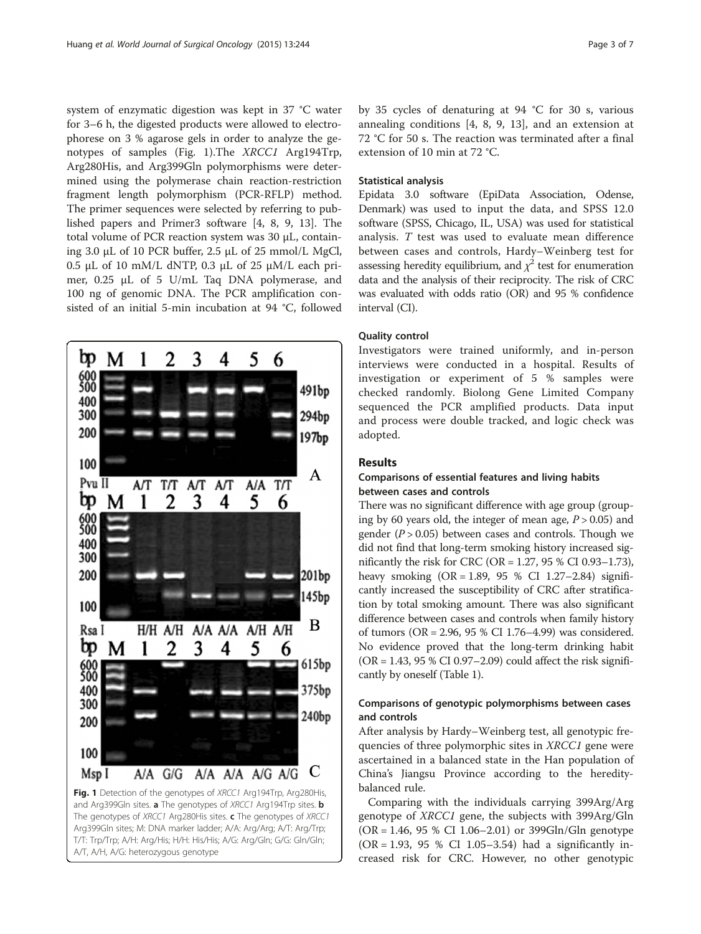system of enzymatic digestion was kept in 37 °C water for 3–6 h, the digested products were allowed to electrophorese on 3 % agarose gels in order to analyze the genotypes of samples (Fig. 1).The XRCC1 Arg194Trp, Arg280His, and Arg399Gln polymorphisms were determined using the polymerase chain reaction-restriction fragment length polymorphism (PCR-RFLP) method. The primer sequences were selected by referring to published papers and Primer3 software [[4, 8, 9, 13](#page-6-0)]. The total volume of PCR reaction system was 30 μL, containing 3.0 μL of 10 PCR buffer, 2.5 μL of 25 mmol/L MgCl, 0.5 μL of 10 mM/L dNTP, 0.3 μL of 25 μM/L each primer, 0.25 μL of 5 U/mL Taq DNA polymerase, and 100 ng of genomic DNA. The PCR amplification consisted of an initial 5-min incubation at 94 °C, followed



T/T: Trp/Trp; A/H: Arg/His; H/H: His/His; A/G: Arg/Gln; G/G: Gln/Gln; A/T, A/H, A/G: heterozygous genotype

by 35 cycles of denaturing at 94 °C for 30 s, various annealing conditions [[4, 8](#page-6-0), [9, 13](#page-6-0)], and an extension at 72 °C for 50 s. The reaction was terminated after a final extension of 10 min at 72 °C.

#### Statistical analysis

Epidata 3.0 software (EpiData Association, Odense, Denmark) was used to input the data, and SPSS 12.0 software (SPSS, Chicago, IL, USA) was used for statistical analysis. T test was used to evaluate mean difference between cases and controls, Hardy–Weinberg test for assessing heredity equilibrium, and  $\chi^2$  test for enumeration data and the analysis of their reciprocity. The risk of CRC was evaluated with odds ratio (OR) and 95 % confidence interval (CI).

# Quality control

Investigators were trained uniformly, and in-person interviews were conducted in a hospital. Results of investigation or experiment of 5 % samples were checked randomly. Biolong Gene Limited Company sequenced the PCR amplified products. Data input and process were double tracked, and logic check was adopted.

# Results

# Comparisons of essential features and living habits between cases and controls

There was no significant difference with age group (grouping by 60 years old, the integer of mean age,  $P > 0.05$ ) and gender ( $P > 0.05$ ) between cases and controls. Though we did not find that long-term smoking history increased significantly the risk for CRC (OR =  $1.27$ , 95 % CI 0.93-1.73), heavy smoking  $(OR = 1.89, 95 % CI 1.27–2.84)$  significantly increased the susceptibility of CRC after stratification by total smoking amount. There was also significant difference between cases and controls when family history of tumors (OR = 2.96, 95 % CI 1.76–4.99) was considered. No evidence proved that the long-term drinking habit (OR = 1.43, 95 % CI 0.97–2.09) could affect the risk significantly by oneself (Table [1\)](#page-3-0).

# Comparisons of genotypic polymorphisms between cases and controls

After analysis by Hardy–Weinberg test, all genotypic frequencies of three polymorphic sites in *XRCC1* gene were ascertained in a balanced state in the Han population of China's Jiangsu Province according to the hereditybalanced rule.

Comparing with the individuals carrying 399Arg/Arg genotype of XRCC1 gene, the subjects with 399Arg/Gln  $(OR = 1.46, 95 % CI 1.06–2.01)$  or 399Gln/Gln genotype (OR = 1.93, 95 % CI 1.05–3.54) had a significantly increased risk for CRC. However, no other genotypic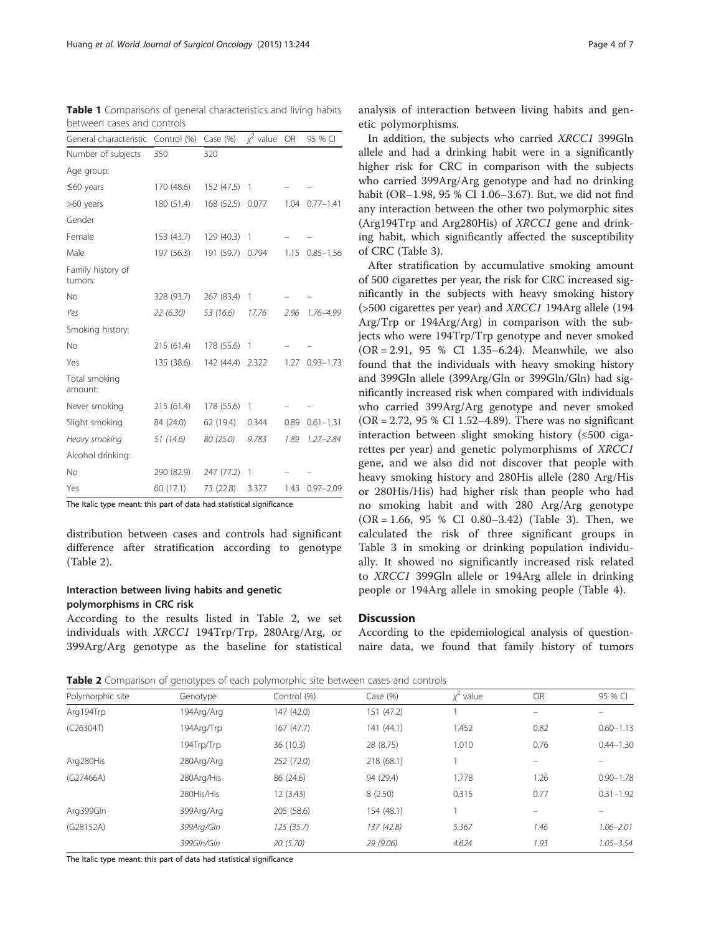<span id="page-3-0"></span>Table 1 Comparisons of general characteristics and living habits between cases and controls

| General characteristic       | Control (%) Case (%) |            | $x^2$ value OR |      | 95 % CI       |
|------------------------------|----------------------|------------|----------------|------|---------------|
| Number of subjects           | 350                  | 320        |                |      |               |
| Age group:                   |                      |            |                |      |               |
| $\leq 60$ years              | 170 (48.6)           | 152 (47.5) | 1              |      |               |
| >60 years                    | 180 (51.4)           | 168 (52.5) | 0.077          | 1.04 | $0.77 - 1.41$ |
| Gender                       |                      |            |                |      |               |
| Female                       | 153 (43.7)           | 129 (40.3) | 1              |      |               |
| Male                         | 197 (56.3)           | 191 (59.7) | 0.794          | 1.15 | $0.85 - 1.56$ |
| Family history of<br>tumors: |                      |            |                |      |               |
| No                           | 328 (93.7)           | 267 (83.4) | 1              |      |               |
| Yes                          | 22(6.30)             | 53 (16.6)  | 17.76          | 2.96 | 1.76-4.99     |
| Smoking history:             |                      |            |                |      |               |
| No                           | 215(61.4)            | 178 (55.6) | 1              |      |               |
| Yes                          | 135 (38.6)           | 142 (44.4) | 2.322          | 1.27 | $0.93 - 1.73$ |
| Total smoking<br>amount:     |                      |            |                |      |               |
| Never smoking                | 215 (61.4)           | 178 (55.6) | 1              |      |               |
| Slight smoking               | 84 (24.0)            | 62 (19.4)  | 0.344          | 0.89 | $0.61 - 1.31$ |
| Heavy smoking                | 51 (14.6)            | 80 (25.0)  | 9.783          | 1.89 | $1.27 - 2.84$ |
| Alcohol drinking:            |                      |            |                |      |               |
| No                           | 290 (82.9)           | 247 (77.2) | 1              |      |               |
| Yes                          | 60 (17.1)            | 73 (22.8)  | 3.377          | 1.43 | $0.97 - 2.09$ |

The Italic type meant: this part of data had statistical significance

distribution between cases and controls had significant difference after stratification according to genotype (Table 2).

# Interaction between living habits and genetic polymorphisms in CRC risk

According to the results listed in Table 2, we set individuals with XRCC1 194Trp/Trp, 280Arg/Arg, or 399Arg/Arg genotype as the baseline for statistical

In addition, the subjects who carried XRCC1 399Gln allele and had a drinking habit were in a significantly higher risk for CRC in comparison with the subjects who carried 399Arg/Arg genotype and had no drinking habit (OR–1.98, 95 % CI 1.06–3.67). But, we did not find any interaction between the other two polymorphic sites (Arg194Trp and Arg280His) of XRCC1 gene and drinking habit, which significantly affected the susceptibility of CRC (Table [3](#page-4-0)).

After stratification by accumulative smoking amount of 500 cigarettes per year, the risk for CRC increased significantly in the subjects with heavy smoking history (>500 cigarettes per year) and XRCC1 194Arg allele (194 Arg/Trp or 194Arg/Arg) in comparison with the subjects who were 194Trp/Trp genotype and never smoked (OR = 2.91, 95 % CI 1.35–6.24). Meanwhile, we also found that the individuals with heavy smoking history and 399Gln allele (399Arg/Gln or 399Gln/Gln) had significantly increased risk when compared with individuals who carried 399Arg/Arg genotype and never smoked (OR = 2.72, 95 % CI 1.52–4.89). There was no significant interaction between slight smoking history (≤500 cigarettes per year) and genetic polymorphisms of XRCC1 gene, and we also did not discover that people with heavy smoking history and 280His allele (280 Arg/His or 280His/His) had higher risk than people who had no smoking habit and with 280 Arg/Arg genotype  $(OR = 1.66, 95 % CI 0.80-3.42)$  (Table [3](#page-4-0)). Then, we calculated the risk of three significant groups in Table [3](#page-4-0) in smoking or drinking population individually. It showed no significantly increased risk related to XRCC1 399Gln allele or 194Arg allele in drinking people or 194Arg allele in smoking people (Table [4](#page-4-0)).

# **Discussion**

According to the epidemiological analysis of questionnaire data, we found that family history of tumors

Table 2 Comparison of genotypes of each polymorphic site between cases and controls

| Polymorphic site | Genotype   | Control (%) | Case $(\%)$ | $x^2$ value | <b>OR</b>                | 95 % CI       |
|------------------|------------|-------------|-------------|-------------|--------------------------|---------------|
| Arg194Trp        | 194Arg/Arg | 147 (42.0)  | 151 (47.2)  |             | $\overline{\phantom{0}}$ |               |
| (C26304T)        | 194Arg/Trp | 167(47.7)   | 141(44.1)   | 1.452       | 0.82                     | $0.60 - 1.13$ |
|                  | 194Trp/Trp | 36(10.3)    | 28 (8.75)   | 1.010       | 0.76                     | $0.44 - 1.30$ |
| Arg280His        | 280Arg/Arg | 252 (72.0)  | 218 (68.1)  |             |                          |               |
| (G27466A)        | 280Arg/His | 86 (24.6)   | 94 (29.4)   | 1.778       | 1.26                     | $0.90 - 1.78$ |
|                  | 280His/His | 12 (3.43)   | 8(2.50)     | 0.315       | 0.77                     | $0.31 - 1.92$ |
| Arg399Gln        | 399Arg/Arg | 205 (58.6)  | 154 (48.1)  |             |                          |               |
| (G28152A)        | 399Arg/Gln | 125(35.7)   | 137 (42.8)  | 5.367       | 1.46                     | $1.06 - 2.01$ |
|                  | 399Gln/Gln | 20(5.70)    | 29(9.06)    | 4.624       | 1.93                     | $1.05 - 3.54$ |
|                  |            |             |             |             |                          |               |

The Italic type meant: this part of data had statistical significance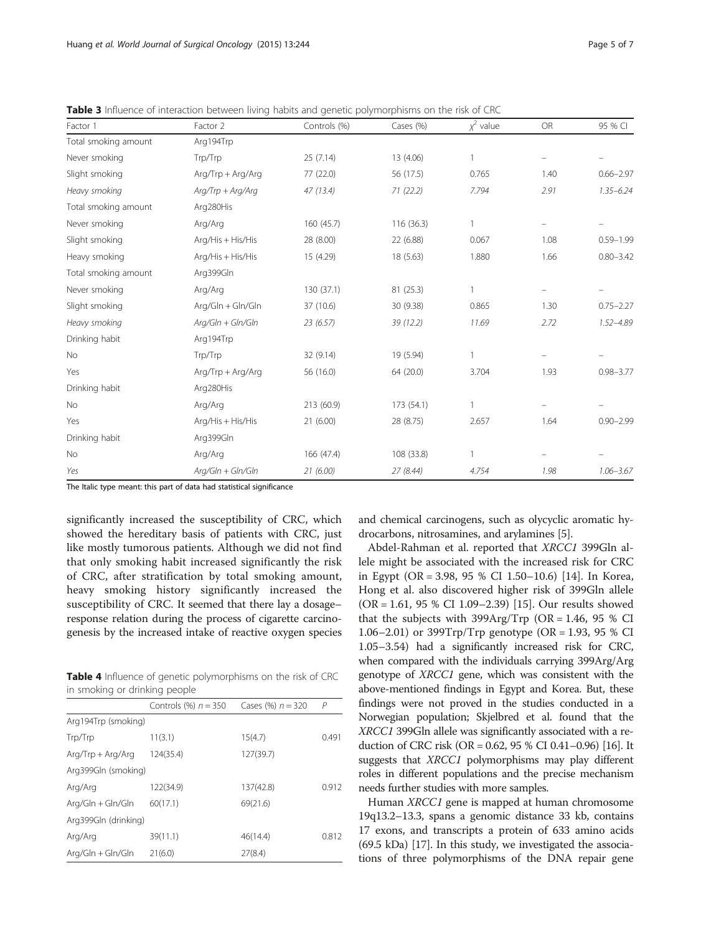| Factor 1             | Factor 2                         | Controls (%) | Cases (%)  | $x^2$ value  | <b>OR</b> | 95 % CI       |
|----------------------|----------------------------------|--------------|------------|--------------|-----------|---------------|
| Total smoking amount | Arg194Trp                        |              |            |              |           |               |
| Never smoking        | Trp/Trp                          | 25(7.14)     | 13 (4.06)  | $\mathbf{1}$ |           |               |
| Slight smoking       | Arg/Trp + Arg/Arg                | 77 (22.0)    | 56 (17.5)  | 0.765        | 1.40      | $0.66 - 2.97$ |
| Heavy smoking        | $A$ rg/ $T$ r $p + A$ rg/ $A$ rg | 47(13.4)     | 71(22.2)   | 7.794        | 2.91      | $1.35 - 6.24$ |
| Total smoking amount | Arg280His                        |              |            |              |           |               |
| Never smoking        | Arg/Arg                          | 160(45.7)    | 116(36.3)  | $\mathbf{1}$ |           |               |
| Slight smoking       | Arg/His + His/His                | 28 (8.00)    | 22 (6.88)  | 0.067        | 1.08      | $0.59 - 1.99$ |
| Heavy smoking        | Arg/His + His/His                | 15 (4.29)    | 18 (5.63)  | 1.880        | 1.66      | $0.80 - 3.42$ |
| Total smoking amount | Arg399Gln                        |              |            |              |           |               |
| Never smoking        | Arg/Arg                          | 130 (37.1)   | 81 (25.3)  | $\mathbf{1}$ |           |               |
| Slight smoking       | Arg/Gln + Gln/Gln                | 37 (10.6)    | 30 (9.38)  | 0.865        | 1.30      | $0.75 - 2.27$ |
| Heavy smoking        | $A$ rg/Gln + Gln/Gln             | 23(6.57)     | 39(12.2)   | 11.69        | 2.72      | $1.52 - 4.89$ |
| Drinking habit       | Arg194Trp                        |              |            |              |           |               |
| No                   | Trp/Trp                          | 32 (9.14)    | 19 (5.94)  | $\mathbf{1}$ |           |               |
| Yes                  | Arg/Trp + Arg/Arg                | 56 (16.0)    | 64 (20.0)  | 3.704        | 1.93      | $0.98 - 3.77$ |
| Drinking habit       | Arg280His                        |              |            |              |           |               |
| <b>No</b>            | Arg/Arg                          | 213 (60.9)   | 173 (54.1) | $\mathbf{1}$ |           |               |
| Yes                  | Arg/His + His/His                | 21(6.00)     | 28 (8.75)  | 2.657        | 1.64      | $0.90 - 2.99$ |
| Drinking habit       | Arg399Gln                        |              |            |              |           |               |
| No                   | Arg/Arg                          | 166 (47.4)   | 108 (33.8) | $\mathbf{1}$ |           |               |
| Yes                  | $Arg/GIn + GIn/GIn$              | 21(6.00)     | 27(8.44)   | 4.754        | 1.98      | $1.06 - 3.67$ |

<span id="page-4-0"></span>**Table 3** Influence of interaction between living habits and genetic polymorphisms on the risk of CRC

The Italic type meant: this part of data had statistical significance

significantly increased the susceptibility of CRC, which showed the hereditary basis of patients with CRC, just like mostly tumorous patients. Although we did not find that only smoking habit increased significantly the risk of CRC, after stratification by total smoking amount, heavy smoking history significantly increased the susceptibility of CRC. It seemed that there lay a dosage– response relation during the process of cigarette carcinogenesis by the increased intake of reactive oxygen species

Table 4 Influence of genetic polymorphisms on the risk of CRC in smoking or drinking people

|                      | Controls $(\%) n = 350$ | Cases (%) $n = 320$ | $\mathcal P$ |
|----------------------|-------------------------|---------------------|--------------|
| Arg194Trp (smoking)  |                         |                     |              |
| Trp/Trp              | 11(3.1)                 | 15(4.7)             | 0.491        |
| $Arg/Trp + Arg/Arg$  | 124(35.4)               | 127(39.7)           |              |
| Arg399Gln (smoking)  |                         |                     |              |
| Arg/Arg              | 122(34.9)               | 137(42.8)           | 0.912        |
| $Arg/GIn + GIn/GIn$  | 60(17.1)                | 69(21.6)            |              |
| Arg399Gln (drinking) |                         |                     |              |
| Arg/Arg              | 39(11.1)                | 46(14.4)            | 0.812        |
| Arg/Gln + Gln/Gln    | 21(6.0)                 | 27(8.4)             |              |

and chemical carcinogens, such as olycyclic aromatic hydrocarbons, nitrosamines, and arylamines [[5\]](#page-6-0).

Abdel-Rahman et al. reported that XRCC1 399Gln allele might be associated with the increased risk for CRC in Egypt (OR = 3.98, 95 % CI 1.50–10.6) [[14](#page-6-0)]. In Korea, Hong et al. also discovered higher risk of 399Gln allele (OR = 1.61, 95 % CI 1.09–2.39) [\[15](#page-6-0)]. Our results showed that the subjects with 399Arg/Trp (OR = 1.46, 95 % CI 1.06–2.01) or 399Trp/Trp genotype (OR = 1.93, 95 % CI 1.05–3.54) had a significantly increased risk for CRC, when compared with the individuals carrying 399Arg/Arg genotype of XRCC1 gene, which was consistent with the above-mentioned findings in Egypt and Korea. But, these findings were not proved in the studies conducted in a Norwegian population; Skjelbred et al. found that the XRCC1 399Gln allele was significantly associated with a reduction of CRC risk (OR = 0.62, 95 % CI 0.41–0.96) [\[16\]](#page-6-0). It suggests that XRCC1 polymorphisms may play different roles in different populations and the precise mechanism needs further studies with more samples.

Human XRCC1 gene is mapped at human chromosome 19q13.2–13.3, spans a genomic distance 33 kb, contains 17 exons, and transcripts a protein of 633 amino acids (69.5 kDa) [\[17\]](#page-6-0). In this study, we investigated the associations of three polymorphisms of the DNA repair gene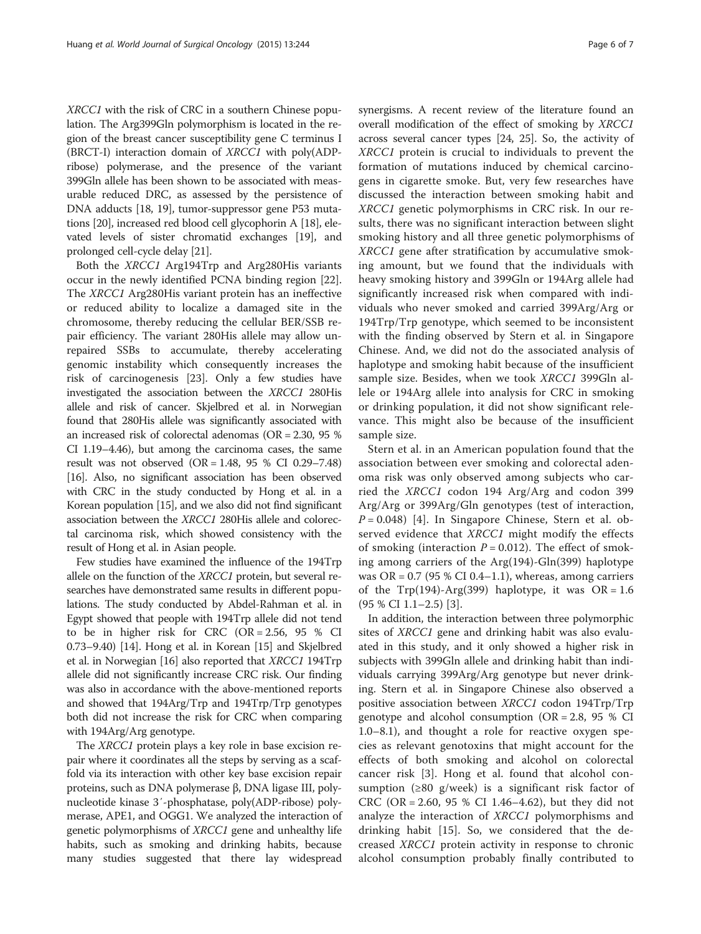XRCC1 with the risk of CRC in a southern Chinese population. The Arg399Gln polymorphism is located in the region of the breast cancer susceptibility gene C terminus I (BRCT-I) interaction domain of XRCC1 with poly(ADPribose) polymerase, and the presence of the variant 399Gln allele has been shown to be associated with measurable reduced DRC, as assessed by the persistence of DNA adducts [[18](#page-6-0), [19](#page-6-0)], tumor-suppressor gene P53 mutations [[20\]](#page-6-0), increased red blood cell glycophorin A [[18](#page-6-0)], elevated levels of sister chromatid exchanges [\[19\]](#page-6-0), and prolonged cell-cycle delay [\[21\]](#page-6-0).

Both the XRCC1 Arg194Trp and Arg280His variants occur in the newly identified PCNA binding region [\[22](#page-6-0)]. The XRCC1 Arg280His variant protein has an ineffective or reduced ability to localize a damaged site in the chromosome, thereby reducing the cellular BER/SSB repair efficiency. The variant 280His allele may allow unrepaired SSBs to accumulate, thereby accelerating genomic instability which consequently increases the risk of carcinogenesis [[23](#page-6-0)]. Only a few studies have investigated the association between the XRCC1 280His allele and risk of cancer. Skjelbred et al. in Norwegian found that 280His allele was significantly associated with an increased risk of colorectal adenomas (OR = 2.30, 95 % CI 1.19–4.46), but among the carcinoma cases, the same result was not observed  $(OR = 1.48, 95 % CI 0.29 - 7.48)$ [[16](#page-6-0)]. Also, no significant association has been observed with CRC in the study conducted by Hong et al. in a Korean population [\[15](#page-6-0)], and we also did not find significant association between the XRCC1 280His allele and colorectal carcinoma risk, which showed consistency with the result of Hong et al. in Asian people.

Few studies have examined the influence of the 194Trp allele on the function of the XRCC1 protein, but several researches have demonstrated same results in different populations. The study conducted by Abdel-Rahman et al. in Egypt showed that people with 194Trp allele did not tend to be in higher risk for CRC (OR = 2.56, 95 % CI 0.73–9.40) [\[14\]](#page-6-0). Hong et al. in Korean [\[15\]](#page-6-0) and Skjelbred et al. in Norwegian [[16\]](#page-6-0) also reported that XRCC1 194Trp allele did not significantly increase CRC risk. Our finding was also in accordance with the above-mentioned reports and showed that 194Arg/Trp and 194Trp/Trp genotypes both did not increase the risk for CRC when comparing with 194Arg/Arg genotype.

The XRCC1 protein plays a key role in base excision repair where it coordinates all the steps by serving as a scaffold via its interaction with other key base excision repair proteins, such as DNA polymerase β, DNA ligase III, polynucleotide kinase 3′-phosphatase, poly(ADP-ribose) polymerase, APE1, and OGG1. We analyzed the interaction of genetic polymorphisms of XRCC1 gene and unhealthy life habits, such as smoking and drinking habits, because many studies suggested that there lay widespread

synergisms. A recent review of the literature found an overall modification of the effect of smoking by XRCC1 across several cancer types [\[24, 25](#page-6-0)]. So, the activity of XRCC1 protein is crucial to individuals to prevent the formation of mutations induced by chemical carcinogens in cigarette smoke. But, very few researches have discussed the interaction between smoking habit and XRCC1 genetic polymorphisms in CRC risk. In our results, there was no significant interaction between slight smoking history and all three genetic polymorphisms of XRCC1 gene after stratification by accumulative smoking amount, but we found that the individuals with heavy smoking history and 399Gln or 194Arg allele had significantly increased risk when compared with individuals who never smoked and carried 399Arg/Arg or 194Trp/Trp genotype, which seemed to be inconsistent with the finding observed by Stern et al. in Singapore Chinese. And, we did not do the associated analysis of haplotype and smoking habit because of the insufficient sample size. Besides, when we took XRCC1 399Gln allele or 194Arg allele into analysis for CRC in smoking or drinking population, it did not show significant relevance. This might also be because of the insufficient sample size.

Stern et al. in an American population found that the association between ever smoking and colorectal adenoma risk was only observed among subjects who carried the XRCC1 codon 194 Arg/Arg and codon 399 Arg/Arg or 399Arg/Gln genotypes (test of interaction,  $P = 0.048$  $P = 0.048$  $P = 0.048$  [4]. In Singapore Chinese, Stern et al. observed evidence that XRCC1 might modify the effects of smoking (interaction  $P = 0.012$ ). The effect of smoking among carriers of the Arg(194)-Gln(399) haplotype was  $OR = 0.7$  (95 % CI 0.4–1.1), whereas, among carriers of the Trp(194)-Arg(399) haplotype, it was  $OR = 1.6$ (95 % CI 1.1–2.5) [[3\]](#page-6-0).

In addition, the interaction between three polymorphic sites of XRCC1 gene and drinking habit was also evaluated in this study, and it only showed a higher risk in subjects with 399Gln allele and drinking habit than individuals carrying 399Arg/Arg genotype but never drinking. Stern et al. in Singapore Chinese also observed a positive association between XRCC1 codon 194Trp/Trp genotype and alcohol consumption  $(OR = 2.8, 95 %$  CI 1.0–8.1), and thought a role for reactive oxygen species as relevant genotoxins that might account for the effects of both smoking and alcohol on colorectal cancer risk [\[3](#page-6-0)]. Hong et al. found that alcohol consumption (≥80 g/week) is a significant risk factor of CRC (OR = 2.60, 95 % CI 1.46–4.62), but they did not analyze the interaction of *XRCC1* polymorphisms and drinking habit [[15\]](#page-6-0). So, we considered that the decreased XRCC1 protein activity in response to chronic alcohol consumption probably finally contributed to